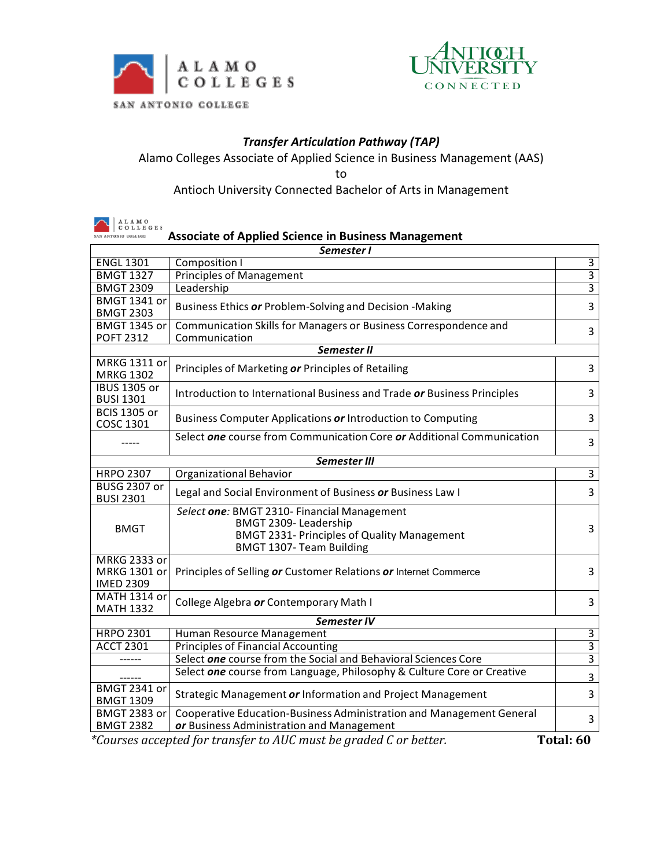

 $\mathbf{r}$ 



## *Transfer Articulation Pathway (TAP)*

Alamo Colleges Associate of Applied Science in Business Management (AAS)

to

Antioch University Connected Bachelor of Arts in Management

| ALAMO<br>COLLEGES<br>AN ANTONIO COLLEGE                                        |                                                                                                                                                              |                |  |  |
|--------------------------------------------------------------------------------|--------------------------------------------------------------------------------------------------------------------------------------------------------------|----------------|--|--|
| <b>Associate of Applied Science in Business Management</b>                     |                                                                                                                                                              |                |  |  |
| <b>ENGL 1301</b>                                                               | Semester I<br>Composition I                                                                                                                                  | 3              |  |  |
| <b>BMGT 1327</b>                                                               |                                                                                                                                                              | $\overline{3}$ |  |  |
| <b>BMGT 2309</b>                                                               | <b>Principles of Management</b><br>Leadership                                                                                                                | $\overline{3}$ |  |  |
|                                                                                |                                                                                                                                                              |                |  |  |
| <b>BMGT 1341 or</b><br><b>BMGT 2303</b>                                        | Business Ethics or Problem-Solving and Decision -Making                                                                                                      | 3              |  |  |
| <b>BMGT 1345 or</b><br><b>POFT 2312</b>                                        | Communication Skills for Managers or Business Correspondence and<br>Communication                                                                            | 3              |  |  |
|                                                                                | Semester II                                                                                                                                                  |                |  |  |
| MRKG 1311 or                                                                   |                                                                                                                                                              |                |  |  |
| <b>MRKG 1302</b>                                                               | Principles of Marketing or Principles of Retailing                                                                                                           | 3              |  |  |
| <b>IBUS 1305 or</b><br><b>BUSI 1301</b>                                        | Introduction to International Business and Trade or Business Principles                                                                                      | 3              |  |  |
| <b>BCIS 1305 or</b><br>COSC 1301                                               | Business Computer Applications or Introduction to Computing                                                                                                  | 3              |  |  |
|                                                                                | Select one course from Communication Core or Additional Communication                                                                                        | $\overline{3}$ |  |  |
| Semester III                                                                   |                                                                                                                                                              |                |  |  |
| <b>HRPO 2307</b>                                                               | <b>Organizational Behavior</b>                                                                                                                               | $\overline{3}$ |  |  |
| <b>BUSG 2307 or</b><br><b>BUSI 2301</b>                                        | Legal and Social Environment of Business or Business Law I                                                                                                   | 3              |  |  |
| <b>BMGT</b>                                                                    | Select one: BMGT 2310- Financial Management<br>BMGT 2309-Leadership<br><b>BMGT 2331- Principles of Quality Management</b><br><b>BMGT 1307- Team Building</b> | 3              |  |  |
| <b>MRKG 2333 or</b><br>MRKG 1301 or<br><b>IMED 2309</b>                        | Principles of Selling or Customer Relations or Internet Commerce                                                                                             | 3              |  |  |
| MATH 1314 or<br><b>MATH 1332</b>                                               | College Algebra or Contemporary Math I                                                                                                                       | 3              |  |  |
| Semester IV                                                                    |                                                                                                                                                              |                |  |  |
| <b>HRPO 2301</b>                                                               | Human Resource Management                                                                                                                                    | 3              |  |  |
| <b>ACCT 2301</b>                                                               | <b>Principles of Financial Accounting</b>                                                                                                                    | $\overline{3}$ |  |  |
|                                                                                | Select one course from the Social and Behavioral Sciences Core                                                                                               | $\overline{3}$ |  |  |
|                                                                                | Select one course from Language, Philosophy & Culture Core or Creative                                                                                       | $\overline{3}$ |  |  |
| <b>BMGT 2341 or</b><br><b>BMGT 1309</b>                                        | Strategic Management or Information and Project Management                                                                                                   | 3              |  |  |
| <b>BMGT 2383 or</b><br><b>BMGT 2382</b>                                        | Cooperative Education-Business Administration and Management General<br>or Business Administration and Management                                            | 3              |  |  |
| *Courses accepted for transfer to AUC must be graded C or better.<br>Total: 60 |                                                                                                                                                              |                |  |  |